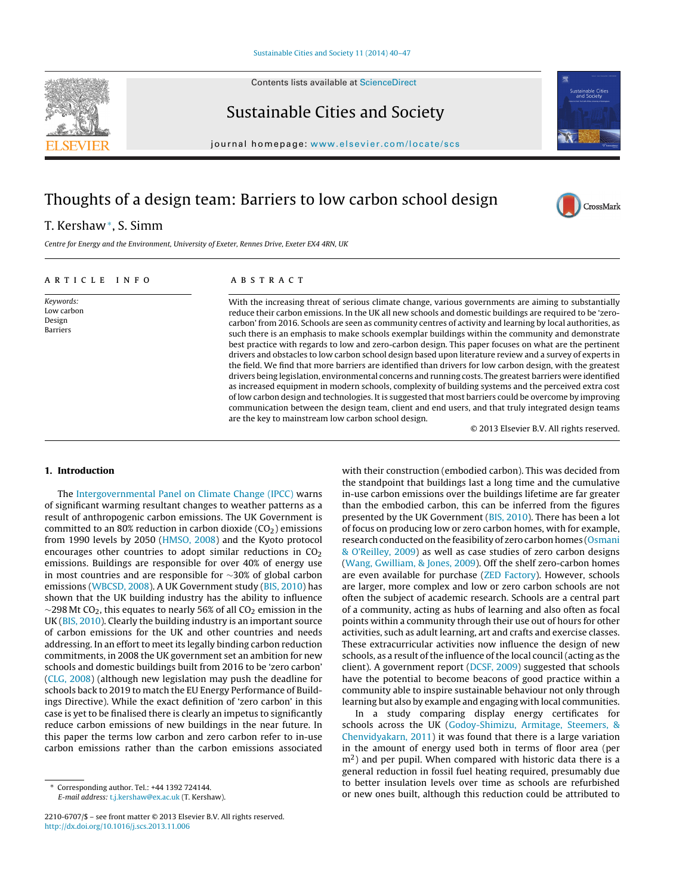Contents lists available at [ScienceDirect](http://www.sciencedirect.com/science/journal/22106707)



## Sustainable Cities and Society

journal homepage: [www.elsevier.com/locate/scs](http://www.elsevier.com/locate/scs)

### Thoughts of a design team: Barriers to low carbon school design

# CrossMark

#### T. Kershaw∗, S. Simm

Centre for Energy and the Environment, University of Exeter, Rennes Drive, Exeter EX4 4RN, UK

#### a r t i c l e i n f o

Keywords: Low carbon Design Barriers

A B S T R A C T

With the increasing threat of serious climate change, various governments are aiming to substantially reduce their carbon emissions. In the UK all new schools and domestic buildings are required to be 'zerocarbon' from 2016. Schools are seen as community centres of activity and learning by local authorities, as such there is an emphasis to make schools exemplar buildings within the community and demonstrate best practice with regards to low and zero-carbon design. This paper focuses on what are the pertinent drivers and obstacles to low carbon school design based upon literature review and a survey of experts in the field. We find that more barriers are identified than drivers for low carbon design, with the greatest drivers being legislation, environmental concerns and running costs. The greatest barriers were identified as increased equipment in modern schools, complexity of building systems and the perceived extra cost of low carbon design and technologies. It is suggested that most barriers could be overcome by improving communication between the design team, client and end users, and that truly integrated design teams are the key to mainstream low carbon school design.

© 2013 Elsevier B.V. All rights reserved.

#### **1. Introduction**

The [Intergovernmental](#page--1-0) [Panel](#page--1-0) [on](#page--1-0) [Climate](#page--1-0) [Change](#page--1-0) [\(IPCC\)](#page--1-0) warns of significant warming resultant changes to weather patterns as a result of anthropogenic carbon emissions. The UK Government is committed to an 80% reduction in carbon dioxide  $(CO<sub>2</sub>)$  emissions from 1990 levels by 2050 ([HMSO,](#page--1-0) [2008\)](#page--1-0) and the Kyoto protocol encourages other countries to adopt similar reductions in  $CO<sub>2</sub>$ emissions. Buildings are responsible for over 40% of energy use in most countries and are responsible for ∼30% of global carbon emissions ([WBCSD,](#page--1-0) [2008\).](#page--1-0) A UK Government study [\(BIS,](#page--1-0) [2010\)](#page--1-0) has shown that the UK building industry has the ability to influence  $\sim$ 298 Mt CO<sub>2</sub>, this equates to nearly 56% of all CO<sub>2</sub> emission in the UK ([BIS,](#page--1-0) [2010\).](#page--1-0) Clearly the building industry is an important source of carbon emissions for the UK and other countries and needs addressing. In an effort to meet its legally binding carbon reduction commitments, in 2008 the UK government set an ambition for new schools and domestic buildings built from 2016 to be 'zero carbon' ([CLG,](#page--1-0) [2008\)](#page--1-0) (although new legislation may push the deadline for schools back to 2019 to match the EU Energy Performance of Buildings Directive). While the exact definition of 'zero carbon' in this case is yet to be finalised there is clearly an impetus to significantly reduce carbon emissions of new buildings in the near future. In this paper the terms low carbon and zero carbon refer to in-use carbon emissions rather than the carbon emissions associated

with their construction (embodied carbon). This was decided from the standpoint that buildings last a long time and the cumulative in-use carbon emissions over the buildings lifetime are far greater than the embodied carbon, this can be inferred from the figures presented by the UK Government [\(BIS,](#page--1-0) [2010\).](#page--1-0) There has been a lot of focus on producing low or zero carbon homes, with for example, research conducted on the feasibility of zero carbon homes ([Osmani](#page--1-0) [&](#page--1-0) [O'Reilley,](#page--1-0) [2009\)](#page--1-0) as well as case studies of zero carbon designs [\(Wang,](#page--1-0) [Gwilliam,](#page--1-0) [&](#page--1-0) [Jones,](#page--1-0) [2009\).](#page--1-0) Off the shelf zero-carbon homes are even available for purchase [\(ZED](#page--1-0) [Factory\).](#page--1-0) However, schools are larger, more complex and low or zero carbon schools are not often the subject of academic research. Schools are a central part of a community, acting as hubs of learning and also often as focal points within a community through their use out of hours for other activities, such as adult learning, art and crafts and exercise classes. These extracurricular activities now influence the design of new schools, as a result of the influence of the local council (acting as the client). A government report [\(DCSF,](#page--1-0) [2009\)](#page--1-0) suggested that schools have the potential to become beacons of good practice within a community able to inspire sustainable behaviour not only through learning but also by example and engaging with local communities.

In a study comparing display energy certificates for schools across the UK [\(Godoy-Shimizu,](#page--1-0) [Armitage,](#page--1-0) [Steemers,](#page--1-0) [&](#page--1-0) [Chenvidyakarn,](#page--1-0) [2011\)](#page--1-0) it was found that there is a large variation in the amount of energy used both in terms of floor area (per  $\rm m^2$ ) and per pupil. When compared with historic data there is a general reduction in fossil fuel heating required, presumably due to better insulation levels over time as schools are refurbished or new ones built, although this reduction could be attributed to

<sup>∗</sup> Corresponding author. Tel.: +44 1392 724144. E-mail address: [t.j.kershaw@ex.ac.uk](mailto:t.j.kershaw@ex.ac.uk) (T. Kershaw).

<sup>2210-6707/\$</sup> – see front matter © 2013 Elsevier B.V. All rights reserved. [http://dx.doi.org/10.1016/j.scs.2013.11.006](dx.doi.org/10.1016/j.scs.2013.11.006)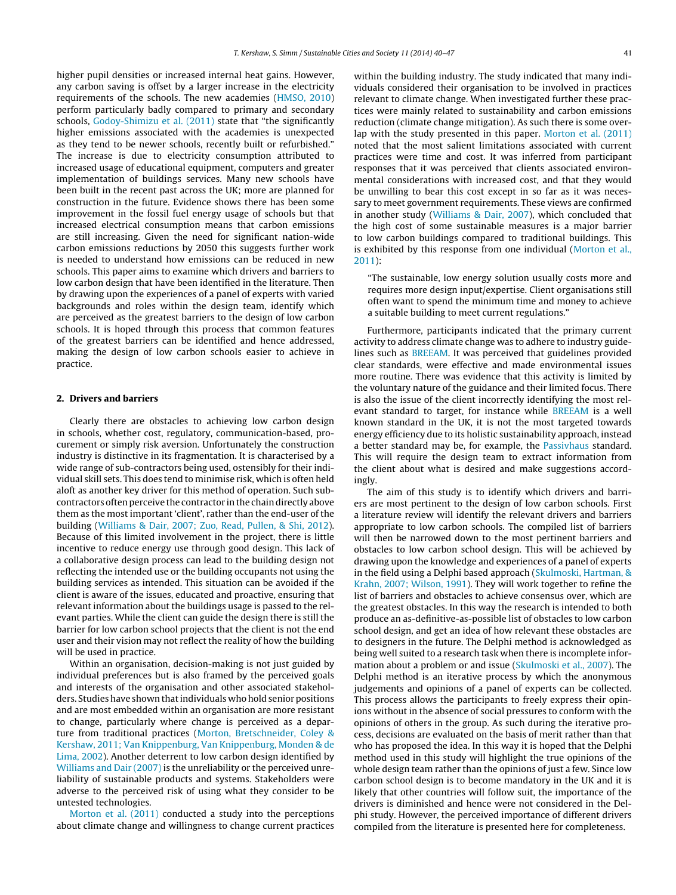higher pupil densities or increased internal heat gains. However, any carbon saving is offset by a larger increase in the electricity requirements of the schools. The new academies [\(HMSO,](#page--1-0) [2010\)](#page--1-0) perform particularly badly compared to primary and secondary schools, [Godoy-Shimizu](#page--1-0) et [al.](#page--1-0) [\(2011\)](#page--1-0) state that "the significantly higher emissions associated with the academies is unexpected as they tend to be newer schools, recently built or refurbished." The increase is due to electricity consumption attributed to increased usage of educational equipment, computers and greater implementation of buildings services. Many new schools have been built in the recent past across the UK; more are planned for construction in the future. Evidence shows there has been some improvement in the fossil fuel energy usage of schools but that increased electrical consumption means that carbon emissions are still increasing. Given the need for significant nation-wide carbon emissions reductions by 2050 this suggests further work is needed to understand how emissions can be reduced in new schools. This paper aims to examine which drivers and barriers to low carbon design that have been identified in the literature. Then by drawing upon the experiences of a panel of experts with varied backgrounds and roles within the design team, identify which are perceived as the greatest barriers to the design of low carbon schools. It is hoped through this process that common features of the greatest barriers can be identified and hence addressed, making the design of low carbon schools easier to achieve in practice.

#### **2. Drivers and barriers**

Clearly there are obstacles to achieving low carbon design in schools, whether cost, regulatory, communication-based, procurement or simply risk aversion. Unfortunately the construction industry is distinctive in its fragmentation. It is characterised by a wide range of sub-contractors being used, ostensibly for their individual skill sets. This does tend to minimise risk, which is often held aloft as another key driver for this method of operation. Such subcontractors often perceive the contractor in the chain directly above them as the most important 'client', rather than the end-user of the building [\(Williams](#page--1-0) [&](#page--1-0) [Dair,](#page--1-0) [2007;](#page--1-0) [Zuo,](#page--1-0) [Read,](#page--1-0) [Pullen,](#page--1-0) [&](#page--1-0) [Shi,](#page--1-0) [2012\).](#page--1-0) Because of this limited involvement in the project, there is little incentive to reduce energy use through good design. This lack of a collaborative design process can lead to the building design not reflecting the intended use or the building occupants not using the building services as intended. This situation can be avoided if the client is aware of the issues, educated and proactive, ensuring that relevant information about the buildings usage is passed to the relevant parties. While the client can guide the design there is still the barrier for low carbon school projects that the client is not the end user and their vision may not reflect the reality of how the building will be used in practice.

Within an organisation, decision-making is not just guided by individual preferences but is also framed by the perceived goals and interests of the organisation and other associated stakeholders. Studies have shown that individuals who hold senior positions and are most embedded within an organisation are more resistant to change, particularly where change is perceived as a departure from traditional practices [\(Morton,](#page--1-0) [Bretschneider,](#page--1-0) [Coley](#page--1-0) [&](#page--1-0) [Kershaw,](#page--1-0) [2011;](#page--1-0) [Van](#page--1-0) [Knippenburg,](#page--1-0) [Van](#page--1-0) [Knippenburg,](#page--1-0) [Monden](#page--1-0) [&](#page--1-0) [de](#page--1-0) [Lima,](#page--1-0) [2002\).](#page--1-0) Another deterrent to low carbon design identified by [Williams](#page--1-0) [and](#page--1-0) [Dair](#page--1-0) [\(2007\)](#page--1-0) is the unreliability or the perceived unreliability of sustainable products and systems. Stakeholders were adverse to the perceived risk of using what they consider to be untested technologies.

[Morton](#page--1-0) et [al.](#page--1-0) [\(2011\)](#page--1-0) conducted a study into the perceptions about climate change and willingness to change current practices within the building industry. The study indicated that many individuals considered their organisation to be involved in practices relevant to climate change. When investigated further these practices were mainly related to sustainability and carbon emissions reduction (climate change mitigation). As such there is some overlap with the study presented in this paper. [Morton](#page--1-0) et [al.](#page--1-0) [\(2011\)](#page--1-0) noted that the most salient limitations associated with current practices were time and cost. It was inferred from participant responses that it was perceived that clients associated environmental considerations with increased cost, and that they would be unwilling to bear this cost except in so far as it was necessary to meet government requirements. These views are confirmed in another study ([Williams](#page--1-0) [&](#page--1-0) [Dair,](#page--1-0) [2007\),](#page--1-0) which concluded that the high cost of some sustainable measures is a major barrier to low carbon buildings compared to traditional buildings. This is exhibited by this response from one individual ([Morton](#page--1-0) et [al.,](#page--1-0)  $2011$ )

"The sustainable, low energy solution usually costs more and requires more design input/expertise. Client organisations still often want to spend the minimum time and money to achieve a suitable building to meet current regulations."

Furthermore, participants indicated that the primary current activity to address climate change was to adhere to industry guidelines such as [BREEAM.](#page--1-0) It was perceived that guidelines provided clear standards, were effective and made environmental issues more routine. There was evidence that this activity is limited by the voluntary nature of the guidance and their limited focus. There is also the issue of the client incorrectly identifying the most relevant standard to target, for instance while [BREEAM](#page--1-0) is a well known standard in the UK, it is not the most targeted towards energy efficiency due to its holistic sustainability approach, instead a better standard may be, for example, the [Passivhaus](#page--1-0) standard. This will require the design team to extract information from the client about what is desired and make suggestions accordingly.

The aim of this study is to identify which drivers and barriers are most pertinent to the design of low carbon schools. First a literature review will identify the relevant drivers and barriers appropriate to low carbon schools. The compiled list of barriers will then be narrowed down to the most pertinent barriers and obstacles to low carbon school design. This will be achieved by drawing upon the knowledge and experiences of a panel of experts in the field using a Delphi based approach [\(Skulmoski,](#page--1-0) [Hartman,](#page--1-0) [&](#page--1-0) [Krahn,](#page--1-0) [2007;](#page--1-0) [Wilson,](#page--1-0) [1991\).](#page--1-0) They will work together to refine the list of barriers and obstacles to achieve consensus over, which are the greatest obstacles. In this way the research is intended to both produce an as-definitive-as-possible list of obstacles to low carbon school design, and get an idea of how relevant these obstacles are to designers in the future. The Delphi method is acknowledged as being well suited to a research task when there is incomplete information about a problem or and issue ([Skulmoski](#page--1-0) et [al.,](#page--1-0) [2007\).](#page--1-0) The Delphi method is an iterative process by which the anonymous judgements and opinions of a panel of experts can be collected. This process allows the participants to freely express their opinions without in the absence of social pressures to conform with the opinions of others in the group. As such during the iterative process, decisions are evaluated on the basis of merit rather than that who has proposed the idea. In this way it is hoped that the Delphi method used in this study will highlight the true opinions of the whole design team rather than the opinions of just a few. Since low carbon school design is to become mandatory in the UK and it is likely that other countries will follow suit, the importance of the drivers is diminished and hence were not considered in the Delphi study. However, the perceived importance of different drivers compiled from the literature is presented here for completeness.